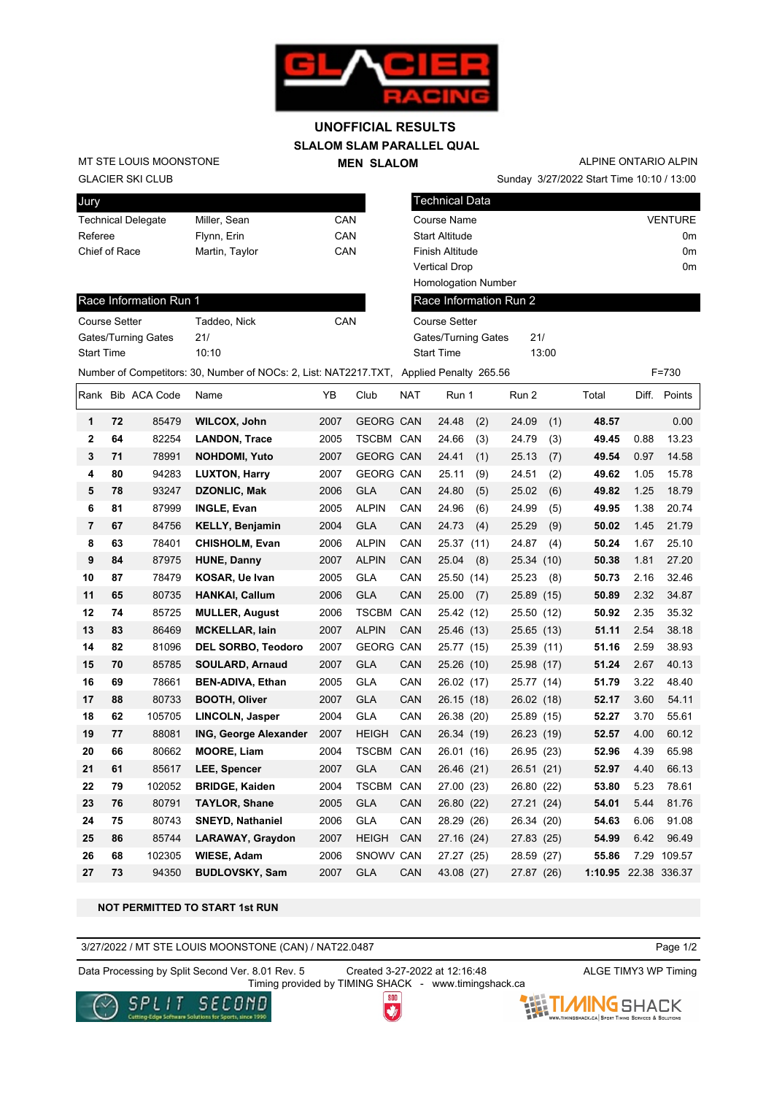

## **SLALOM SLAM PARALLEL QUAL MEN SLALOM UNOFFICIAL RESULTS**

GLACIER SKI CLUB MT STE LOUIS MOONSTONE

| Jury                      |                |     |
|---------------------------|----------------|-----|
| <b>Technical Delegate</b> | Miller, Sean   | CAN |
| Referee                   | Flynn, Erin    | CAN |
| Chief of Race             | Martin, Taylor | CAN |
|                           |                |     |

Sunday 3/27/2022 Start Time 10:10 / 13:00 ALPINE ONTARIO ALPIN

Technical Data Course Name VENTURE Start Altitude 0m Finish Altitude 0m Vertical Drop 0m Homologation Number

## Race Information Run 1

| <b>Course Setter</b> | Taddeo, Nick | CAN |
|----------------------|--------------|-----|
| Gates/Turning Gates  | 21/          |     |
| <b>Start Time</b>    | 10.10        |     |

| viai i Allituut            |
|----------------------------|
| Finish Altitude            |
| <b>Vertical Drop</b>       |
| <b>Homologation Number</b> |
| Race Information Run 2     |
| Course Setter              |

Gates/Turning Gates 21/ Start Time 13:00

Number of Competitors: 30, Number of NOCs: 2, List: NAT2217.TXT, Applied Penalty 265.56 F=730

|                |    | Rank Bib ACA Code | Name                         | ΥB   | Club             | <b>NAT</b> | Run 1         | Run 2      |      | Total   | Diff. | Points |
|----------------|----|-------------------|------------------------------|------|------------------|------------|---------------|------------|------|---------|-------|--------|
| 1              | 72 | 85479             | WILCOX, John                 | 2007 | <b>GEORG CAN</b> |            | 24.48<br>(2)  | 24.09      | (1)  | 48.57   |       | 0.00   |
| $\overline{2}$ | 64 | 82254             | <b>LANDON, Trace</b>         | 2005 | <b>TSCBM CAN</b> |            | 24.66<br>(3)  | 24.79      | (3)  | 49.45   | 0.88  | 13.23  |
| 3              | 71 | 78991             | <b>NOHDOMI, Yuto</b>         | 2007 | <b>GEORG CAN</b> |            | 24.41<br>(1)  | 25.13      | (7)  | 49.54   | 0.97  | 14.58  |
| 4              | 80 | 94283             | <b>LUXTON, Harry</b>         | 2007 | <b>GEORG CAN</b> |            | 25.11<br>(9)  | 24.51      | (2)  | 49.62   | 1.05  | 15.78  |
| 5              | 78 | 93247             | <b>DZONLIC, Mak</b>          | 2006 | <b>GLA</b>       | CAN        | 24.80<br>(5)  | 25.02      | (6)  | 49.82   | 1.25  | 18.79  |
| 6              | 81 | 87999             | <b>INGLE, Evan</b>           | 2005 | <b>ALPIN</b>     | CAN        | 24.96<br>(6)  | 24.99      | (5)  | 49.95   | 1.38  | 20.74  |
| $\overline{7}$ | 67 | 84756             | <b>KELLY, Benjamin</b>       | 2004 | <b>GLA</b>       | CAN        | 24.73<br>(4)  | 25.29      | (9)  | 50.02   | 1.45  | 21.79  |
| 8              | 63 | 78401             | <b>CHISHOLM, Evan</b>        | 2006 | <b>ALPIN</b>     | CAN        | 25.37<br>(11) | 24.87      | (4)  | 50.24   | 1.67  | 25.10  |
| 9              | 84 | 87975             | <b>HUNE, Danny</b>           | 2007 | <b>ALPIN</b>     | CAN        | 25.04<br>(8)  | 25.34      | (10) | 50.38   | 1.81  | 27.20  |
| 10             | 87 | 78479             | <b>KOSAR, Ue Ivan</b>        | 2005 | <b>GLA</b>       | CAN        | 25.50 (14)    | 25.23      | (8)  | 50.73   | 2.16  | 32.46  |
| 11             | 65 | 80735             | <b>HANKAI, Callum</b>        | 2006 | <b>GLA</b>       | CAN        | 25.00<br>(7)  | 25.89 (15) |      | 50.89   | 2.32  | 34.87  |
| 12             | 74 | 85725             | <b>MULLER, August</b>        | 2006 | <b>TSCBM</b>     | CAN        | 25.42 (12)    | 25.50      | (12) | 50.92   | 2.35  | 35.32  |
| 13             | 83 | 86469             | <b>MCKELLAR, lain</b>        | 2007 | <b>ALPIN</b>     | CAN        | 25.46 (13)    | 25.65 (13) |      | 51.11   | 2.54  | 38.18  |
| 14             | 82 | 81096             | DEL SORBO, Teodoro           | 2007 | <b>GEORG CAN</b> |            | 25.77 (15)    | 25.39      | (11) | 51.16   | 2.59  | 38.93  |
| 15             | 70 | 85785             | <b>SOULARD, Arnaud</b>       | 2007 | <b>GLA</b>       | <b>CAN</b> | 25.26 (10)    | 25.98 (17) |      | 51.24   | 2.67  | 40.13  |
| 16             | 69 | 78661             | <b>BEN-ADIVA, Ethan</b>      | 2005 | <b>GLA</b>       | CAN        | 26.02 (17)    | 25.77 (14) |      | 51.79   | 3.22  | 48.40  |
| 17             | 88 | 80733             | <b>BOOTH, Oliver</b>         | 2007 | <b>GLA</b>       | CAN        | 26.15 (18)    | 26.02 (18) |      | 52.17   | 3.60  | 54.11  |
| 18             | 62 | 105705            | LINCOLN, Jasper              | 2004 | <b>GLA</b>       | CAN        | 26.38 (20)    | 25.89 (15) |      | 52.27   | 3.70  | 55.61  |
| 19             | 77 | 88081             | <b>ING, George Alexander</b> | 2007 | <b>HEIGH</b>     | CAN        | 26.34 (19)    | 26.23 (19) |      | 52.57   | 4.00  | 60.12  |
| 20             | 66 | 80662             | <b>MOORE, Liam</b>           | 2004 | <b>TSCBM</b>     | CAN        | 26.01 (16)    | 26.95 (23) |      | 52.96   | 4.39  | 65.98  |
| 21             | 61 | 85617             | LEE, Spencer                 | 2007 | <b>GLA</b>       | CAN        | 26.46 (21)    | 26.51 (21) |      | 52.97   | 4.40  | 66.13  |
| 22             | 79 | 102052            | <b>BRIDGE, Kaiden</b>        | 2004 | <b>TSCBM</b>     | CAN        | 27.00 (23)    | 26.80 (22) |      | 53.80   | 5.23  | 78.61  |
| 23             | 76 | 80791             | <b>TAYLOR, Shane</b>         | 2005 | <b>GLA</b>       | <b>CAN</b> | 26.80 (22)    | 27.21 (24) |      | 54.01   | 5.44  | 81.76  |
| 24             | 75 | 80743             | <b>SNEYD, Nathaniel</b>      | 2006 | <b>GLA</b>       | CAN        | 28.29 (26)    | 26.34 (20) |      | 54.63   | 6.06  | 91.08  |
| 25             | 86 | 85744             | <b>LARAWAY, Graydon</b>      | 2007 | <b>HEIGH</b>     | <b>CAN</b> | 27.16 (24)    | 27.83 (25) |      | 54.99   | 6.42  | 96.49  |
| 26             | 68 | 102305            | <b>WIESE, Adam</b>           | 2006 | SNOWV CAN        |            | 27.27 (25)    | 28.59      | (27) | 55.86   | 7.29  | 109.57 |
| 27             | 73 | 94350             | <b>BUDLOVSKY, Sam</b>        | 2007 | <b>GLA</b>       | CAN        | 43.08 (27)    | 27.87      | (26) | 1:10.95 | 22.38 | 336.37 |

## **NOT PERMITTED TO START 1st RUN**

3/27/2022 / MT STE LOUIS MOONSTONE (CAN) / NAT22.0487

Page 1/2

Data Processing by Split Second Ver. 8.01 Rev. 5 Created 3-27-2022 at 12:16:48 ALGE TIMY3 WP Timing

Timing provided by TIMING SHACK - www.timingshack.ca